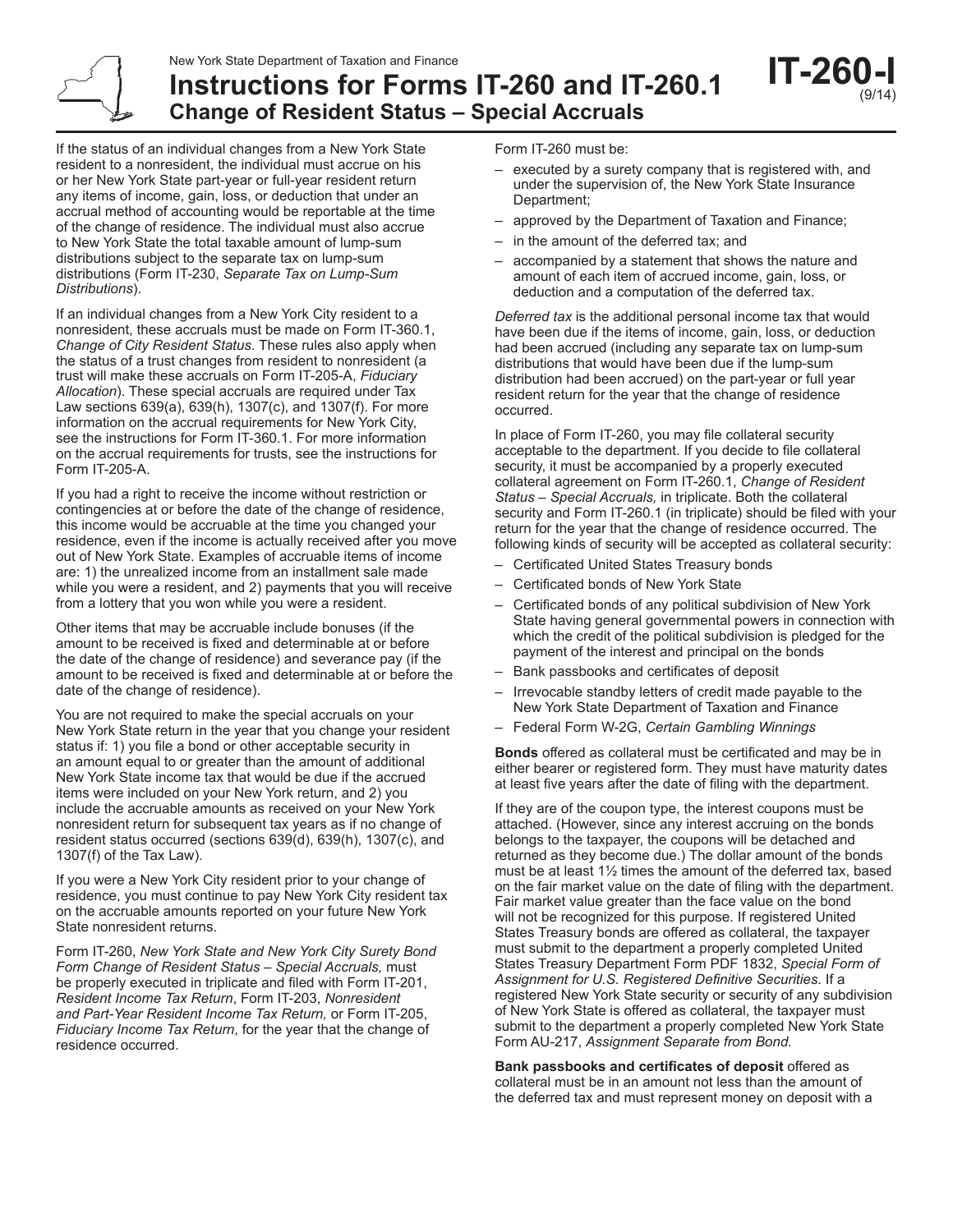New York State Department of Taxation and Finance

**Instructions for Forms IT-260 and IT-260.1**

**Change of Resident Status – Special Accruals** 

If the status of an individual changes from a New York State resident to a nonresident, the individual must accrue on his or her New York State part‑year or full‑year resident return any items of income, gain, loss, or deduction that under an accrual method of accounting would be reportable at the time of the change of residence. The individual must also accrue to New York State the total taxable amount of lump-sum distributions subject to the separate tax on lump-sum distributions (Form IT‑230, *Separate Tax on Lump‑Sum Distributions*).

If an individual changes from a New York City resident to a nonresident, these accruals must be made on Form IT‑360.1, *Change of City Resident Status*. These rules also apply when the status of a trust changes from resident to nonresident (a trust will make these accruals on Form IT‑205‑A, *Fiduciary Allocation*). These special accruals are required under Tax Law sections 639(a), 639(h), 1307(c), and 1307(f). For more information on the accrual requirements for New York City, see the instructions for Form IT‑360.1. For more information on the accrual requirements for trusts, see the instructions for Form IT‑205‑A.

If you had a right to receive the income without restriction or contingencies at or before the date of the change of residence, this income would be accruable at the time you changed your residence, even if the income is actually received after you move out of New York State. Examples of accruable items of income are: 1) the unrealized income from an installment sale made while you were a resident, and 2) payments that you will receive from a lottery that you won while you were a resident.

Other items that may be accruable include bonuses (if the amount to be received is fixed and determinable at or before the date of the change of residence) and severance pay (if the amount to be received is fixed and determinable at or before the date of the change of residence).

You are not required to make the special accruals on your New York State return in the year that you change your resident status if: 1) you file a bond or other acceptable security in an amount equal to or greater than the amount of additional New York State income tax that would be due if the accrued items were included on your New York return, and 2) you include the accruable amounts as received on your New York nonresident return for subsequent tax years as if no change of resident status occurred (sections 639(d), 639(h), 1307(c), and 1307(f) of the Tax Law).

If you were a New York City resident prior to your change of residence, you must continue to pay New York City resident tax on the accruable amounts reported on your future New York State nonresident returns.

Form IT-260, *New York State and New York City Surety Bond Form Change of Resident Status – Special Accruals,* must be properly executed in triplicate and filed with Form IT-201, *Resident Income Tax Return*, Form IT-203, *Nonresident and Part-Year Resident Income Tax Return,* or Form IT-205, *Fiduciary Income Tax Return*, for the year that the change of residence occurred.

Form IT-260 must be:

– executed by a surety company that is registered with, and under the supervision of, the New York State Insurance Department;

**IT-26** 

(9/14)

- approved by the Department of Taxation and Finance;
- in the amount of the deferred tax; and
- accompanied by a statement that shows the nature and amount of each item of accrued income, gain, loss, or deduction and a computation of the deferred tax.

*Deferred tax* is the additional personal income tax that would have been due if the items of income, gain, loss, or deduction had been accrued (including any separate tax on lump-sum distributions that would have been due if the lump-sum distribution had been accrued) on the part-year or full year resident return for the year that the change of residence occurred.

In place of Form IT-260, you may file collateral security acceptable to the department. If you decide to file collateral security, it must be accompanied by a properly executed collateral agreement on Form IT-260.1, *Change of Resident Status – Special Accruals,* in triplicate. Both the collateral security and Form IT-260.1 (in triplicate) should be filed with your return for the year that the change of residence occurred. The following kinds of security will be accepted as collateral security:

- Certificated United States Treasury bonds
- Certificated bonds of New York State
- Certificated bonds of any political subdivision of New York State having general governmental powers in connection with which the credit of the political subdivision is pledged for the payment of the interest and principal on the bonds
- Bank passbooks and certificates of deposit
- Irrevocable standby letters of credit made payable to the New York State Department of Taxation and Finance
- Federal Form W-2G, *Certain Gambling Winnings*

**Bonds** offered as collateral must be certificated and may be in either bearer or registered form. They must have maturity dates at least five years after the date of filing with the department.

If they are of the coupon type, the interest coupons must be attached. (However, since any interest accruing on the bonds belongs to the taxpayer, the coupons will be detached and returned as they become due.) The dollar amount of the bonds must be at least 1½ times the amount of the deferred tax, based on the fair market value on the date of filing with the department. Fair market value greater than the face value on the bond will not be recognized for this purpose. If registered United States Treasury bonds are offered as collateral, the taxpayer must submit to the department a properly completed United States Treasury Department Form PDF 1832, *Special Form of Assignment for U.S. Registered Definitive Securities*. If a registered New York State security or security of any subdivision of New York State is offered as collateral, the taxpayer must submit to the department a properly completed New York State Form AU-217, *Assignment Separate from Bond.*

**Bank passbooks and certificates of deposit** offered as collateral must be in an amount not less than the amount of the deferred tax and must represent money on deposit with a